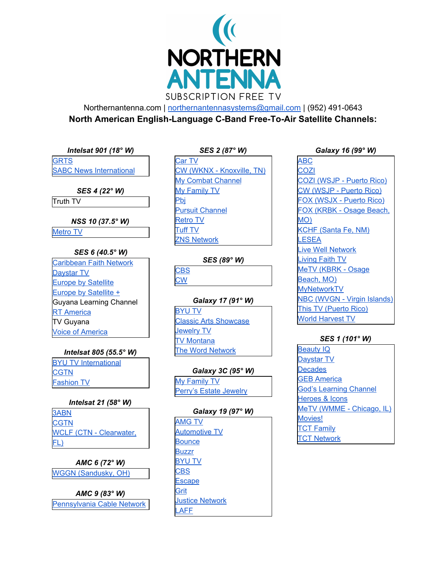

Northernantenna.com | [northernantennasystems@gmail.com](mailto:northernantennasystems@gmail.com) | (952) 491-0643 **North American English-Language C-Band Free-To-Air Satellite Channels:**

*Intelsat 901 (18° W)*

**[GRTS](http://www.grts.gm/) SABC News [International](http://www.sabcnews.com/)** 

*SES 4 (22° W)*

Truth TV

*NSS 10 (37.5° W)*

[Metro](http://www.metroworld.tv/) TV

## *SES 6 (40.5° W)*

[Caribbean](http://caribbeanfaithnetwork.com/) Faith Network [Daystar](http://www.daystar.com/) TV Europe by [Satellite](http://ec.europa.eu/avservices/ebs/welcome_en.cfm) Europe by [Satellite](http://ec.europa.eu/avservices/ebs/ebsplus.cfm?sitelang=en) + Guyana Learning Channel **RT** [America](http://rt.com/) TV Guyana Voice of [America](http://www.voanews.com/english/About/television.cfm)

## *Intelsat 805 (55.5° W)*

BYU TV [International](http://www.byutvint.org/) **[CGTN](http://english.cctv.com/)** [Fashion](http://www.ftv.com/) TV

## *Intelsat 21 (58° W)*

[3ABN](http://www.3abntv.org/) **[CGTN](http://english.cctv.com/)** WCLF (CTN - [Clearwater,](http://www.ctnonline.com/) [FL\)](http://www.ctnonline.com/)

*AMC 6 (72° W)* WGGN [\(Sandusky,](http://www.wggn.tv/) OH)

*AMC 9 (83° W)* [Pennsylvania](http://www.pcntv.com/) Cable Network

## *SES 2 (87° W)*

[Car](http://www.lukencommunications.com/) TV CW (WKNX - [Knoxville,](http://www.lbgtv.com/category/233174/cw20-homepage) TN) My Combat [Channel](http://www.mycombatchannel.com/) My [Family](http://www.myfamilytv.tv/) TV [Pbj](http://en.wikipedia.org/wiki/PBJ_%28TV_network%29) Pursuit [Channel](http://www.pursuitchannel.com/) [Retro](http://www.myretrotv.com/) TV [Tuff](http://tufftv.com/) TV ZNS [Network](http://www.znsbahamas.com/)

*SES (89° W)*

**[CBS](http://www.cbs.com/) [CW](http://www.cwtv.com/)** 

## *Galaxy 17 (91° W)*

[BYU](http://www.byutv.org/) TV Classic Arts [Showcase](http://www.classicartsshowcase.org/) [Jewelry](http://www.jewelrytelevision.com/) TV TV [Montana](http://leg.mt.gov/css/Services%20Division/tvmt.asp) The Word [Network](http://www.thewordnetwork.org/)

# *Galaxy 3C (95° W)*

My [Family](http://www.myfamilytv.tv/) TV Perry's Estate [Jewelry](http://www.perrysestatejewelry.tv/)

## *Galaxy 19 (97° W)*

[AMG](http://www.amgtv.tv/) TV [Automotive](http://automotive.tv/) TV **[Bounce](http://www.bouncetv.com/)** [Buzzr](http://buzzrplay.com/) [BYU](http://www.byutv.org/) TV [CBS](http://www.cbs.com/) **[Escape](http://www.escapetv.com/) [Grit](http://www.grittv.com/)** Justice [Network](http://www.justicenetworktv.com/) [LAFF](http://www.laff.com/)

#### *Galaxy 16 (99° W)*

[ABC](http://www.abc.com/) [COZI](http://www.cozitv.com/) COZI [\(WSJP](http://www.cwtvpuertorico.com/) - Puerto Rico) CW [\(WSJP](http://www.cwtvpuertorico.com/) - Puerto Rico) FOX [\(WSJX](http://www.foxtvpuertorico.com/) - Puerto Rico) FOX (KRBK - Osage [Beach,](http://www.foxkrbk.com/) [MO\)](http://www.foxkrbk.com/) KCHF [\(Santa](http://kchftv.org/) Fe, NM) [LESEA](http://www.mykwhs.com/) Live Well [Network](http://www.wvxftv.com/) [Living](http://www.livingfaithtv.com/) Faith TV MeTV [\(KBRK](http://www.metvozarks.com/) - Osage [Beach,](http://www.metvozarks.com/) MO) [MyNetworkTV](http://www.mynetworktv.com/) NBC (WVGN - Virgin [Islands\)](http://www.wvgn.com/) This TV [\(Puerto](http://www.thistv.com/) Rico) World [Harvest](http://www.lesea.com/index.cfm/fa/wht) TV

# *SES 1 (101° W)*

[Beauty](http://www.qvc.com/) IQ [Daystar](http://www.daystar.com/) TV **[Decades](http://www.decades.com/)** GEB [America](http://www.golden-eagle-tv.com/) God's [Learning](http://www.godslearningchannel.com/) Channel [Heroes](https://www.handitv.com/) & Icons MeTV (WMME - [Chicago,](http://www.metvchicago.com/) IL) [Movies!](http://www.moviestvnetwork.com/) TCT [Family](http://www.tct.tv/) TCT [Network](http://www.tct.tv/)